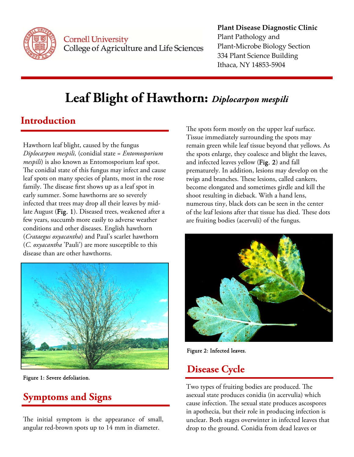

**Cornell University** College of Agriculture and Life Sciences

#### **Plant Disease Diagnostic Clinic** Plant Pathology and Plant‐Microbe Biology Section 334 Plant Science Building Ithaca, NY 14853‐5904

# **Leaf Blight of Hawthorn:** *Diplocarpon mespili*

## **Introduction**

Hawthorn leaf blight, caused by the fungus *Diplocarpon mespili,* (conidial state = *Entomosporium mespili*) is also known as Entomosporium leaf spot. The conidial state of this fungus may infect and cause leaf spots on many species of plants, most in the rose family. The disease first shows up as a leaf spot in early summer. Some hawthorns are so severely infected that trees may drop all their leaves by midlate August (Fig. 1). Diseased trees, weakened after a few years, succumb more easily to adverse weather conditions and other diseases. English hawthorn (*Crataegus oxyacantha*) and Paul's scarlet hawthorn (*C. oxyacantha* 'Pauli') are more susceptible to this disease than are other hawthorns.



Figure 1: Severe defoliation.

## **Symptoms and Signs**

The initial symptom is the appearance of small, angular red-brown spots up to 14 mm in diameter.

The spots form mostly on the upper leaf surface. Tissue immediately surrounding the spots may remain green while leaf tissue beyond that yellows. As the spots enlarge, they coalesce and blight the leaves, and infected leaves yellow (Fig. 2) and fall prematurely. In addition, lesions may develop on the twigs and branches. These lesions, called cankers, become elongated and sometimes girdle and kill the shoot resulting in dieback. With a hand lens, numerous tiny, black dots can be seen in the center of the leaf lesions after that tissue has died. These dots are fruiting bodies (acervuli) of the fungus.



Figure 2: Infected leaves.

## **Disease Cycle**

Two types of fruiting bodies are produced. The asexual state produces conidia (in acervulia) which cause infection. The sexual state produces ascospores in apothecia, but their role in producing infection is unclear. Both stages overwinter in infected leaves that drop to the ground. Conidia from dead leaves or